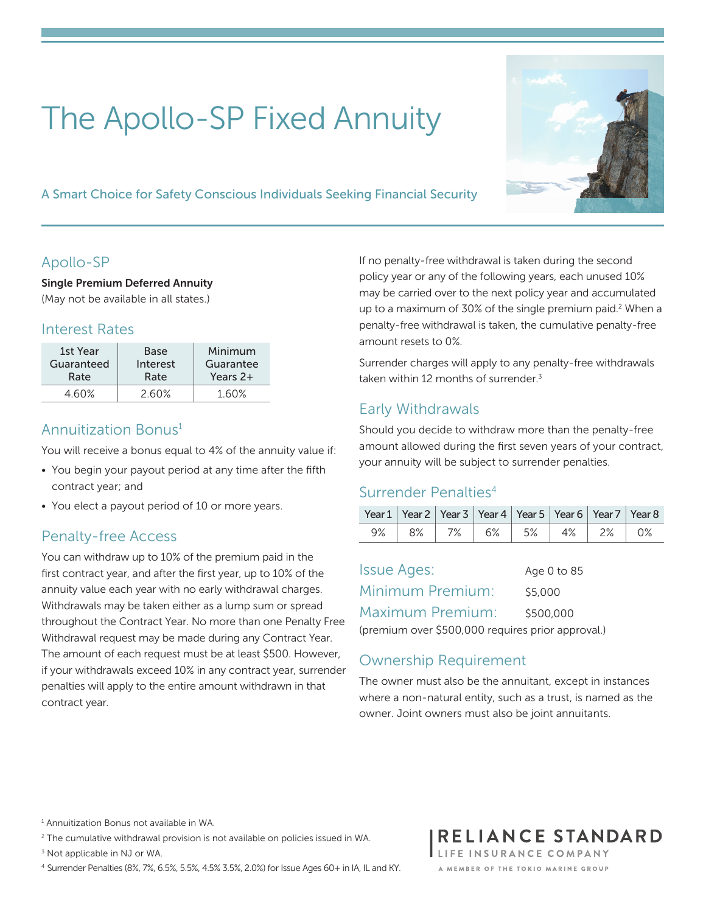# The Apollo-SP Fixed Annuity

A Smart Choice for Safety Conscious Individuals Seeking Financial Security

# Apollo-SP

Single Premium Deferred Annuity (May not be available in all states.)

#### Interest Rates

| 1st Year   | Base     | Minimum   |
|------------|----------|-----------|
| Guaranteed | Interest | Guarantee |
| Rate       | Rate     | Years 2+  |
| 460%       | 2.60%    |           |

## Annuitization Bonus1

You will receive a bonus equal to 4% of the annuity value if:

- You begin your payout period at any time after the fifth contract year; and
- You elect a payout period of 10 or more years.

## Penalty-free Access

You can withdraw up to 10% of the premium paid in the first contract year, and after the first year, up to 10% of the annuity value each year with no early withdrawal charges. Withdrawals may be taken either as a lump sum or spread throughout the Contract Year. No more than one Penalty Free Withdrawal request may be made during any Contract Year. The amount of each request must be at least \$500. However, if your withdrawals exceed 10% in any contract year, surrender penalties will apply to the entire amount withdrawn in that contract year.

If no penalty-free withdrawal is taken during the second policy year or any of the following years, each unused 10% may be carried over to the next policy year and accumulated up to a maximum of 30% of the single premium paid.<sup>2</sup> When a penalty-free withdrawal is taken, the cumulative penalty-free amount resets to 0%.

Surrender charges will apply to any penalty-free withdrawals taken within 12 months of surrender.<sup>3</sup>

# Early Withdrawals

Should you decide to withdraw more than the penalty-free amount allowed during the first seven years of your contract, your annuity will be subject to surrender penalties.

#### Surrender Penalties<sup>4</sup>

| Year 1   Year 2   Year 3   Year 4   Year 5   Year 6   Year 7   Year 8 |  |                                       |  |  |
|-----------------------------------------------------------------------|--|---------------------------------------|--|--|
|                                                                       |  | 9%   8%   7%   6%   5%   4%   2%   0% |  |  |

| <b>Issue Ages:</b>                                | Age 0 to 85 |
|---------------------------------------------------|-------------|
| Minimum Premium:                                  | \$5,000     |
| Maximum Premium: I                                | \$500,000   |
| (premium over \$500,000 requires prior approval.) |             |

## Ownership Requirement

The owner must also be the annuitant, except in instances where a non-natural entity, such as a trust, is named as the owner. Joint owners must also be joint annuitants.

<sup>1</sup> Annuitization Bonus not available in WA.

<sup>2</sup> The cumulative withdrawal provision is not available on policies issued in WA.

<sup>3</sup> Not applicable in NJ or WA.

<sup>4</sup> Surrender Penalties (8%, 7%, 6.5%, 5.5%, 4.5% 3.5%, 2.0%) for Issue Ages 60+ in IA, IL and KY.



#### RELIANCE STANDARD LIFE INSURANCE COMPANY

A MEMBER OF THE TOKIO MARINE GROUP